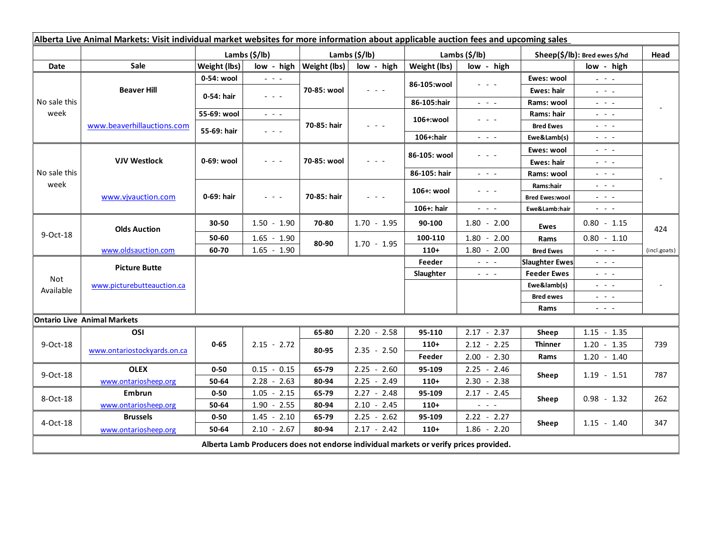| Alberta Live Animal Markets: Visit individual market websites for more information about applicable auction fees and upcoming sales |                                    |               |                                                                                                                           |                               |               |               |                                                                                                                           |                                 |                                                                                                                                                                                                                                                                                                                                                                                                                                                |                          |
|-------------------------------------------------------------------------------------------------------------------------------------|------------------------------------|---------------|---------------------------------------------------------------------------------------------------------------------------|-------------------------------|---------------|---------------|---------------------------------------------------------------------------------------------------------------------------|---------------------------------|------------------------------------------------------------------------------------------------------------------------------------------------------------------------------------------------------------------------------------------------------------------------------------------------------------------------------------------------------------------------------------------------------------------------------------------------|--------------------------|
|                                                                                                                                     |                                    | Lambs (\$/lb) |                                                                                                                           | Lambs $(\frac{2}{3})$ lb)     |               | Lambs (\$/lb) |                                                                                                                           | Sheep(\$/lb): Bred ewes \$/hd   |                                                                                                                                                                                                                                                                                                                                                                                                                                                | Head                     |
| Date                                                                                                                                | <b>Sale</b>                        | Weight (lbs)  |                                                                                                                           | $low - high   Weight (lbs)  $ | low - high    | Weight (lbs)  | low - high                                                                                                                |                                 | low - high                                                                                                                                                                                                                                                                                                                                                                                                                                     |                          |
| No sale this<br>week                                                                                                                | <b>Beaver Hill</b>                 | 0-54: wool    | $\omega_{\rm{eff}}$ and $\omega_{\rm{eff}}$                                                                               | 70-85: wool                   | $  -$         | 86-105:wool   | $  -$                                                                                                                     | Ewes: wool                      | $\omega_{\rm c} \sim \omega_{\rm c}$                                                                                                                                                                                                                                                                                                                                                                                                           |                          |
|                                                                                                                                     |                                    | 0-54: hair    | $\omega_{\rm{eff}}$ and $\omega_{\rm{eff}}$                                                                               |                               |               |               |                                                                                                                           | Ewes: hair                      | $\omega_{\rm{c}}$ , $\omega_{\rm{c}}$ , $\omega_{\rm{c}}$                                                                                                                                                                                                                                                                                                                                                                                      |                          |
|                                                                                                                                     |                                    |               |                                                                                                                           |                               |               | 86-105:hair   | $\frac{1}{2} \left( \frac{1}{2} \right) \left( \frac{1}{2} \right) \left( \frac{1}{2} \right) \left( \frac{1}{2} \right)$ | Rams: wool                      | $\frac{1}{2} \left( \frac{1}{2} \right) \frac{1}{2} \left( \frac{1}{2} \right) \frac{1}{2} \left( \frac{1}{2} \right) \frac{1}{2} \left( \frac{1}{2} \right) \frac{1}{2} \left( \frac{1}{2} \right) \frac{1}{2} \left( \frac{1}{2} \right) \frac{1}{2} \left( \frac{1}{2} \right) \frac{1}{2} \left( \frac{1}{2} \right) \frac{1}{2} \left( \frac{1}{2} \right) \frac{1}{2} \left( \frac{1}{2} \right) \frac{1}{2} \left( \frac{1}{2} \right)$ |                          |
|                                                                                                                                     | www.beaverhillauctions.com         | 55-69: wool   | $\omega_{\rm{eff}}$ and $\omega_{\rm{eff}}$                                                                               | 70-85: hair                   | $  -$         | 106+:wool     | - - -                                                                                                                     | Rams: hair                      | $\frac{1}{2} \left( \frac{1}{2} \right) \left( \frac{1}{2} \right) \left( \frac{1}{2} \right) \left( \frac{1}{2} \right)$                                                                                                                                                                                                                                                                                                                      |                          |
|                                                                                                                                     |                                    | 55-69: hair   | $\omega_{\rm{c}}$ , $\omega_{\rm{c}}$ , $\omega_{\rm{c}}$                                                                 |                               |               |               |                                                                                                                           | <b>Bred Ewes</b>                | $  -$                                                                                                                                                                                                                                                                                                                                                                                                                                          |                          |
|                                                                                                                                     |                                    |               |                                                                                                                           |                               |               | 106+:hair     | $\frac{1}{2} \left( \frac{1}{2} \right) \left( \frac{1}{2} \right) \left( \frac{1}{2} \right) \left( \frac{1}{2} \right)$ | Ewe&Lamb(s)                     | $\frac{1}{2} \left( \frac{1}{2} \right) \left( \frac{1}{2} \right) \left( \frac{1}{2} \right) \left( \frac{1}{2} \right)$                                                                                                                                                                                                                                                                                                                      |                          |
| No sale this<br>week                                                                                                                | <b>VJV Westlock</b>                | 0-69: wool    | $  -$                                                                                                                     | 70-85: wool                   |               | 86-105: wool  | .                                                                                                                         | Ewes: wool                      | $\frac{1}{2} \left( \frac{1}{2} \right) = \frac{1}{2} \left( \frac{1}{2} \right)$                                                                                                                                                                                                                                                                                                                                                              |                          |
|                                                                                                                                     |                                    |               |                                                                                                                           |                               |               |               |                                                                                                                           | <b>Ewes: hair</b>               | 20 milion                                                                                                                                                                                                                                                                                                                                                                                                                                      |                          |
|                                                                                                                                     |                                    |               |                                                                                                                           |                               |               | 86-105: hair  | $\frac{1}{2} \left( \frac{1}{2} \right) = \frac{1}{2} \left( \frac{1}{2} \right)$                                         | Rams: wool                      | $  -$                                                                                                                                                                                                                                                                                                                                                                                                                                          |                          |
|                                                                                                                                     | www.vjvauction.com                 | 0-69: hair    | $\frac{1}{2} \left( \frac{1}{2} \right) \left( \frac{1}{2} \right) \left( \frac{1}{2} \right) \left( \frac{1}{2} \right)$ | 70-85: hair                   | $  -$         | 106+: wool    | $  -$                                                                                                                     | Rams:hair                       | $  -$                                                                                                                                                                                                                                                                                                                                                                                                                                          |                          |
|                                                                                                                                     |                                    |               |                                                                                                                           |                               |               |               |                                                                                                                           | <b>Bred Ewes:wool</b>           | $  -$                                                                                                                                                                                                                                                                                                                                                                                                                                          |                          |
|                                                                                                                                     |                                    |               |                                                                                                                           |                               |               | 106+: hair    | $\omega_{\rm{eff}}$ and $\omega_{\rm{eff}}$                                                                               | Ewe&Lamb:hair                   | $\frac{1}{2} \left( \frac{1}{2} \right) \left( \frac{1}{2} \right) \left( \frac{1}{2} \right) \left( \frac{1}{2} \right)$                                                                                                                                                                                                                                                                                                                      |                          |
| 9-Oct-18                                                                                                                            | <b>Olds Auction</b>                | 30-50         | $1.50 - 1.90$                                                                                                             | 70-80                         | $1.70 - 1.95$ | 90-100        | $1.80 - 2.00$                                                                                                             | Ewes                            | $0.80 - 1.15$                                                                                                                                                                                                                                                                                                                                                                                                                                  | 424                      |
|                                                                                                                                     |                                    | 50-60         | $1.65 - 1.90$                                                                                                             | 80-90                         | $1.70 - 1.95$ | 100-110       | $1.80 - 2.00$                                                                                                             | Rams                            | $0.80 - 1.10$                                                                                                                                                                                                                                                                                                                                                                                                                                  |                          |
|                                                                                                                                     | www.oldsauction.com                | 60-70         | $1.65 - 1.90$                                                                                                             |                               |               | $110+$        | $1.80 - 2.00$                                                                                                             | <b>Bred Ewes</b>                | $\omega_{\rm{eff}}$ and $\omega_{\rm{eff}}$                                                                                                                                                                                                                                                                                                                                                                                                    | (incl.goats)             |
| <b>Not</b><br>Available                                                                                                             | <b>Picture Butte</b>               |               |                                                                                                                           |                               |               | Feeder        | $\omega_{\rm{c}}$ and $\omega_{\rm{c}}$                                                                                   | <b>Slaughter Ewes</b>           | $\frac{1}{2} \left( \frac{1}{2} \right) \left( \frac{1}{2} \right) \left( \frac{1}{2} \right) \left( \frac{1}{2} \right)$                                                                                                                                                                                                                                                                                                                      |                          |
|                                                                                                                                     | www.picturebutteauction.ca         |               |                                                                                                                           |                               |               | Slaughter     | $\frac{1}{2} \left( \frac{1}{2} \right) \left( \frac{1}{2} \right) \left( \frac{1}{2} \right) \left( \frac{1}{2} \right)$ | <b>Feeder Ewes</b>              | $\frac{1}{2} \left( \frac{1}{2} \right) \left( \frac{1}{2} \right) \left( \frac{1}{2} \right) \left( \frac{1}{2} \right)$                                                                                                                                                                                                                                                                                                                      |                          |
|                                                                                                                                     |                                    |               |                                                                                                                           |                               |               |               |                                                                                                                           | Ewe&lamb(s)                     | $\frac{1}{2} \left( \frac{1}{2} \right) \left( \frac{1}{2} \right) \left( \frac{1}{2} \right) \left( \frac{1}{2} \right)$                                                                                                                                                                                                                                                                                                                      | $\overline{\phantom{a}}$ |
|                                                                                                                                     |                                    |               |                                                                                                                           |                               |               |               |                                                                                                                           | <b>Bred ewes</b>                | $\frac{1}{2} \left( \frac{1}{2} \right) \left( \frac{1}{2} \right) \left( \frac{1}{2} \right) \left( \frac{1}{2} \right)$                                                                                                                                                                                                                                                                                                                      |                          |
|                                                                                                                                     |                                    |               |                                                                                                                           |                               |               |               |                                                                                                                           | Rams                            | $\frac{1}{2} \left( \frac{1}{2} \right) \frac{1}{2} \left( \frac{1}{2} \right) \frac{1}{2} \left( \frac{1}{2} \right)$                                                                                                                                                                                                                                                                                                                         |                          |
|                                                                                                                                     | <b>Ontario Live Animal Markets</b> |               |                                                                                                                           |                               |               |               |                                                                                                                           |                                 |                                                                                                                                                                                                                                                                                                                                                                                                                                                |                          |
| 9-Oct-18                                                                                                                            | OSI                                | $0 - 65$      | $2.15 - 2.72$                                                                                                             | 65-80                         | $2.20 - 2.58$ | 95-110        | $2.17 - 2.37$                                                                                                             | Sheep<br><b>Thinner</b><br>Rams | $1.15 - 1.35$                                                                                                                                                                                                                                                                                                                                                                                                                                  | 739                      |
|                                                                                                                                     | www.ontariostockyards.on.ca        |               |                                                                                                                           | 80-95                         | $2.35 - 2.50$ | $110+$        | $2.12 - 2.25$                                                                                                             |                                 | $1.20 - 1.35$                                                                                                                                                                                                                                                                                                                                                                                                                                  |                          |
|                                                                                                                                     |                                    |               |                                                                                                                           |                               |               | Feeder        | $2.00 - 2.30$                                                                                                             |                                 | $1.20 - 1.40$                                                                                                                                                                                                                                                                                                                                                                                                                                  |                          |
| 9-Oct-18                                                                                                                            | <b>OLEX</b>                        | $0 - 50$      | $0.15 - 0.15$                                                                                                             | 65-79                         | $2.25 - 2.60$ | 95-109        | $2.25 - 2.46$                                                                                                             | Sheep                           | $1.19 - 1.51$                                                                                                                                                                                                                                                                                                                                                                                                                                  | 787                      |
|                                                                                                                                     | www.ontariosheep.org               | 50-64         | $2.28 - 2.63$                                                                                                             | 80-94                         | $2.25 - 2.49$ | $110+$        | $2.30 - 2.38$                                                                                                             |                                 |                                                                                                                                                                                                                                                                                                                                                                                                                                                |                          |
| 8-Oct-18                                                                                                                            | Embrun                             | $0 - 50$      | $-2.15$<br>1.05                                                                                                           | 65-79                         | $2.27 - 2.48$ | 95-109        | $2.17 - 2.45$                                                                                                             | Sheep                           | $0.98 - 1.32$                                                                                                                                                                                                                                                                                                                                                                                                                                  | 262                      |
|                                                                                                                                     | www.ontariosheep.org               | 50-64         | $1.90 - 2.55$                                                                                                             | 80-94                         | $2.10 - 2.45$ | $110+$        | $\frac{1}{2} \left( \frac{1}{2} \right) \left( \frac{1}{2} \right) \left( \frac{1}{2} \right)$                            |                                 |                                                                                                                                                                                                                                                                                                                                                                                                                                                |                          |
| 4-Oct-18                                                                                                                            | <b>Brussels</b>                    | $0 - 50$      | $-2.10$<br>1.45                                                                                                           | 65-79                         | $2.25 - 2.62$ | 95-109        | $2.22 - 2.27$                                                                                                             | Sheep                           | $1.15 - 1.40$                                                                                                                                                                                                                                                                                                                                                                                                                                  | 347                      |
|                                                                                                                                     | www.ontariosheep.org               | 50-64         | $2.10 - 2.67$                                                                                                             | 80-94                         | $2.17 - 2.42$ | $110+$        | $1.86 - 2.20$                                                                                                             |                                 |                                                                                                                                                                                                                                                                                                                                                                                                                                                |                          |
| Alberta Lamb Producers does not endorse individual markets or verify prices provided.                                               |                                    |               |                                                                                                                           |                               |               |               |                                                                                                                           |                                 |                                                                                                                                                                                                                                                                                                                                                                                                                                                |                          |